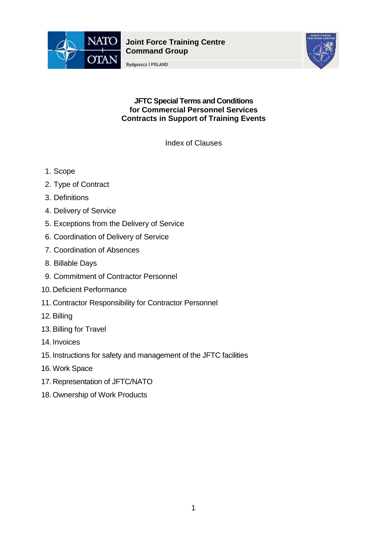

**Joint Force Training Centre Command Group**

Bydgoszcz | POLAND



**JFTC Special Terms and Conditions for Commercial Personnel Services Contracts in Support of Training Events**

Index of Clauses

- 1. Scope
- 2. Type of Contract
- 3. Definitions
- 4. Delivery of Service
- 5. Exceptions from the Delivery of Service
- 6. Coordination of Delivery of Service
- 7. Coordination of Absences
- 8. Billable Days
- 9. Commitment of Contractor Personnel
- 10. Deficient Performance
- 11. Contractor Responsibility for Contractor Personnel
- 12. Billing
- 13.Billing for Travel
- 14. Invoices
- 15. Instructions for safety and management of the JFTC facilities
- 16. Work Space
- 17.Representation of JFTC/NATO
- 18. Ownership of Work Products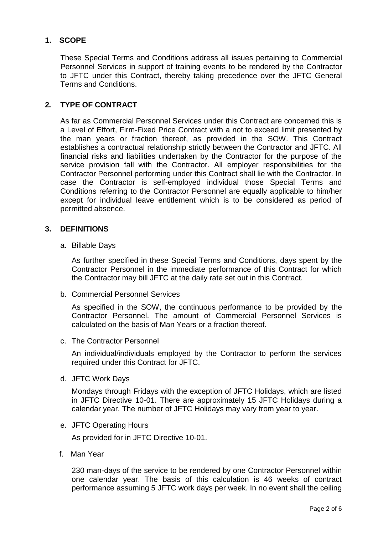# **1. SCOPE**

These Special Terms and Conditions address all issues pertaining to Commercial Personnel Services in support of training events to be rendered by the Contractor to JFTC under this Contract, thereby taking precedence over the JFTC General Terms and Conditions.

# **2. TYPE OF CONTRACT**

As far as Commercial Personnel Services under this Contract are concerned this is a Level of Effort, Firm-Fixed Price Contract with a not to exceed limit presented by the man years or fraction thereof, as provided in the SOW. This Contract establishes a contractual relationship strictly between the Contractor and JFTC. All financial risks and liabilities undertaken by the Contractor for the purpose of the service provision fall with the Contractor. All employer responsibilities for the Contractor Personnel performing under this Contract shall lie with the Contractor. In case the Contractor is self-employed individual those Special Terms and Conditions referring to the Contractor Personnel are equally applicable to him/her except for individual leave entitlement which is to be considered as period of permitted absence.

#### **3. DEFINITIONS**

a. Billable Days

As further specified in these Special Terms and Conditions, days spent by the Contractor Personnel in the immediate performance of this Contract for which the Contractor may bill JFTC at the daily rate set out in this Contract.

b. Commercial Personnel Services

As specified in the SOW, the continuous performance to be provided by the Contractor Personnel. The amount of Commercial Personnel Services is calculated on the basis of Man Years or a fraction thereof.

c. The Contractor Personnel

An individual/individuals employed by the Contractor to perform the services required under this Contract for JFTC.

d. JFTC Work Days

Mondays through Fridays with the exception of JFTC Holidays, which are listed in JFTC Directive 10-01. There are approximately 15 JFTC Holidays during a calendar year. The number of JFTC Holidays may vary from year to year.

e. JFTC Operating Hours

As provided for in JFTC Directive 10-01.

f. Man Year

230 man-days of the service to be rendered by one Contractor Personnel within one calendar year. The basis of this calculation is 46 weeks of contract performance assuming 5 JFTC work days per week. In no event shall the ceiling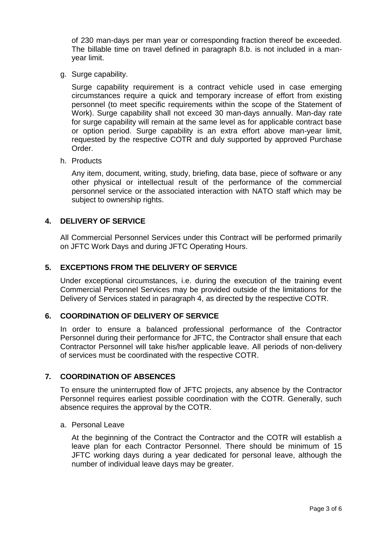of 230 man-days per man year or corresponding fraction thereof be exceeded. The billable time on travel defined in paragraph 8.b. is not included in a manyear limit.

g. Surge capability.

Surge capability requirement is a contract vehicle used in case emerging circumstances require a quick and temporary increase of effort from existing personnel (to meet specific requirements within the scope of the Statement of Work). Surge capability shall not exceed 30 man-days annually. Man-day rate for surge capability will remain at the same level as for applicable contract base or option period. Surge capability is an extra effort above man-year limit, requested by the respective COTR and duly supported by approved Purchase Order.

h. Products

Any item, document, writing, study, briefing, data base, piece of software or any other physical or intellectual result of the performance of the commercial personnel service or the associated interaction with NATO staff which may be subject to ownership rights.

### **4. DELIVERY OF SERVICE**

All Commercial Personnel Services under this Contract will be performed primarily on JFTC Work Days and during JFTC Operating Hours.

# **5. EXCEPTIONS FROM THE DELIVERY OF SERVICE**

Under exceptional circumstances, i.e. during the execution of the training event Commercial Personnel Services may be provided outside of the limitations for the Delivery of Services stated in paragraph 4, as directed by the respective COTR.

### **6. COORDINATION OF DELIVERY OF SERVICE**

In order to ensure a balanced professional performance of the Contractor Personnel during their performance for JFTC, the Contractor shall ensure that each Contractor Personnel will take his/her applicable leave. All periods of non-delivery of services must be coordinated with the respective COTR.

### **7. COORDINATION OF ABSENCES**

To ensure the uninterrupted flow of JFTC projects, any absence by the Contractor Personnel requires earliest possible coordination with the COTR. Generally, such absence requires the approval by the COTR.

a. Personal Leave

At the beginning of the Contract the Contractor and the COTR will establish a leave plan for each Contractor Personnel. There should be minimum of 15 JFTC working days during a year dedicated for personal leave, although the number of individual leave days may be greater.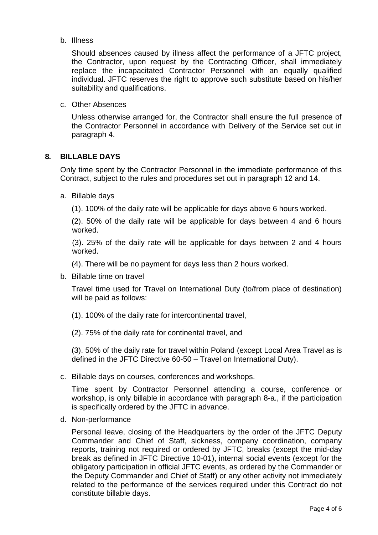b. Illness

Should absences caused by illness affect the performance of a JFTC project, the Contractor, upon request by the Contracting Officer, shall immediately replace the incapacitated Contractor Personnel with an equally qualified individual. JFTC reserves the right to approve such substitute based on his/her suitability and qualifications.

c. Other Absences

Unless otherwise arranged for, the Contractor shall ensure the full presence of the Contractor Personnel in accordance with Delivery of the Service set out in paragraph 4.

#### **8. BILLABLE DAYS**

Only time spent by the Contractor Personnel in the immediate performance of this Contract, subject to the rules and procedures set out in paragraph 12 and 14.

a. Billable days

(1). 100% of the daily rate will be applicable for days above 6 hours worked.

(2). 50% of the daily rate will be applicable for days between 4 and 6 hours worked.

(3). 25% of the daily rate will be applicable for days between 2 and 4 hours worked.

(4). There will be no payment for days less than 2 hours worked.

b. Billable time on travel

Travel time used for Travel on International Duty (to/from place of destination) will be paid as follows:

- (1). 100% of the daily rate for intercontinental travel,
- (2). 75% of the daily rate for continental travel, and

(3). 50% of the daily rate for travel within Poland (except Local Area Travel as is defined in the JFTC Directive 60-50 – Travel on International Duty).

c. Billable days on courses, conferences and workshops.

Time spent by Contractor Personnel attending a course, conference or workshop, is only billable in accordance with paragraph 8-a., if the participation is specifically ordered by the JFTC in advance.

d. Non-performance

Personal leave, closing of the Headquarters by the order of the JFTC Deputy Commander and Chief of Staff, sickness, company coordination, company reports, training not required or ordered by JFTC, breaks (except the mid-day break as defined in JFTC Directive 10-01), internal social events (except for the obligatory participation in official JFTC events, as ordered by the Commander or the Deputy Commander and Chief of Staff) or any other activity not immediately related to the performance of the services required under this Contract do not constitute billable days.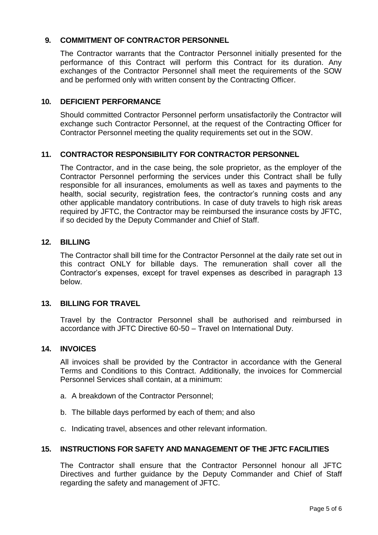# **9. COMMITMENT OF CONTRACTOR PERSONNEL**

The Contractor warrants that the Contractor Personnel initially presented for the performance of this Contract will perform this Contract for its duration. Any exchanges of the Contractor Personnel shall meet the requirements of the SOW and be performed only with written consent by the Contracting Officer.

### **10. DEFICIENT PERFORMANCE**

Should committed Contractor Personnel perform unsatisfactorily the Contractor will exchange such Contractor Personnel, at the request of the Contracting Officer for Contractor Personnel meeting the quality requirements set out in the SOW.

# **11. CONTRACTOR RESPONSIBILITY FOR CONTRACTOR PERSONNEL**

The Contractor, and in the case being, the sole proprietor, as the employer of the Contractor Personnel performing the services under this Contract shall be fully responsible for all insurances, emoluments as well as taxes and payments to the health, social security, registration fees, the contractor's running costs and any other applicable mandatory contributions. In case of duty travels to high risk areas required by JFTC, the Contractor may be reimbursed the insurance costs by JFTC, if so decided by the Deputy Commander and Chief of Staff.

#### **12. BILLING**

The Contractor shall bill time for the Contractor Personnel at the daily rate set out in this contract ONLY for billable days. The remuneration shall cover all the Contractor's expenses, except for travel expenses as described in paragraph 13 below.

### **13. BILLING FOR TRAVEL**

Travel by the Contractor Personnel shall be authorised and reimbursed in accordance with JFTC Directive 60-50 – Travel on International Duty.

### **14. INVOICES**

All invoices shall be provided by the Contractor in accordance with the General Terms and Conditions to this Contract. Additionally, the invoices for Commercial Personnel Services shall contain, at a minimum:

- a. A breakdown of the Contractor Personnel;
- b. The billable days performed by each of them; and also
- c. Indicating travel, absences and other relevant information.

#### **15. INSTRUCTIONS FOR SAFETY AND MANAGEMENT OF THE JFTC FACILITIES**

The Contractor shall ensure that the Contractor Personnel honour all JFTC Directives and further guidance by the Deputy Commander and Chief of Staff regarding the safety and management of JFTC.